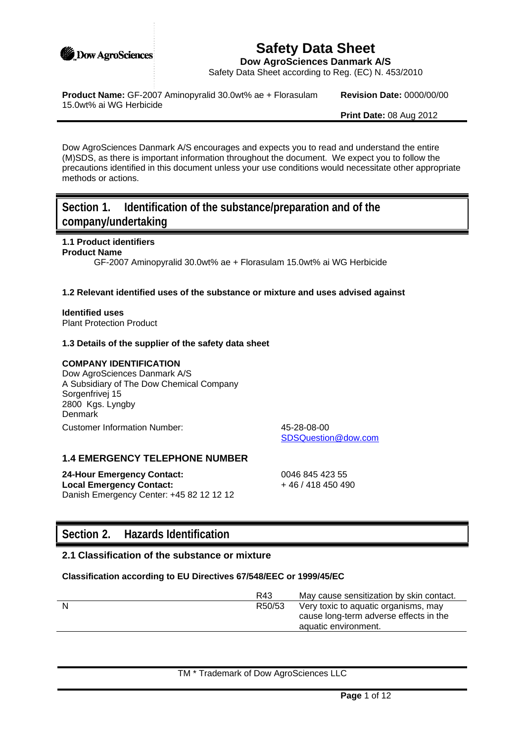

# **Safety Data Sheet**

**Dow AgroSciences Danmark A/S**

Safety Data Sheet according to Reg. (EC) N. 453/2010

**Product Name:** GF-2007 Aminopyralid 30.0wt% ae + Florasulam 15.0wt% ai WG Herbicide

**Revision Date:** 0000/00/00

**Print Date:** 08 Aug 2012

Dow AgroSciences Danmark A/S encourages and expects you to read and understand the entire (M)SDS, as there is important information throughout the document. We expect you to follow the precautions identified in this document unless your use conditions would necessitate other appropriate methods or actions.

# **Section 1. Identification of the substance/preparation and of the company/undertaking**

# **1.1 Product identifiers**

#### **Product Name**

GF-2007 Aminopyralid 30.0wt% ae + Florasulam 15.0wt% ai WG Herbicide

#### **1.2 Relevant identified uses of the substance or mixture and uses advised against**

# **Identified uses**

Plant Protection Product

### **1.3 Details of the supplier of the safety data sheet**

## **COMPANY IDENTIFICATION**

Dow AgroSciences Danmark A/S A Subsidiary of The Dow Chemical Company Sorgenfrivej 15 2800 Kgs. Lyngby **Denmark** Customer Information Number: 45-28-08-00

SDSQuestion@dow.com

## **1.4 EMERGENCY TELEPHONE NUMBER**

**24-Hour Emergency Contact:** 0046 845 423 55 **Local Emergency Contact:**  $+ 46 / 418 450 490$ Danish Emergency Center: +45 82 12 12 12

# **Section 2. Hazards Identification**

# **2.1 Classification of the substance or mixture**

#### **Classification according to EU Directives 67/548/EEC or 1999/45/EC**

| R43    | May cause sensitization by skin contact. |
|--------|------------------------------------------|
| R50/53 | Very toxic to aquatic organisms, may     |
|        | cause long-term adverse effects in the   |
|        | aquatic environment.                     |
|        |                                          |

TM \* Trademark of Dow AgroSciences LLC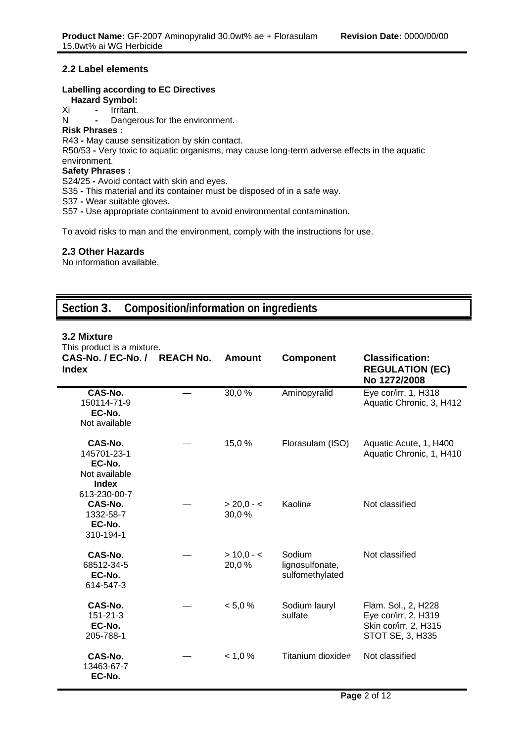## **2.2 Label elements**

### **Labelling according to EC Directives**

**Hazard Symbol:**

Xi **-** Irritant.

N **-** Dangerous for the environment.

## **Risk Phrases :**

R43 **-** May cause sensitization by skin contact.

R50/53 **-** Very toxic to aquatic organisms, may cause long-term adverse effects in the aquatic environment.

## **Safety Phrases :**

S24/25 **-** Avoid contact with skin and eyes.

S35 **-** This material and its container must be disposed of in a safe way.

S37 **-** Wear suitable gloves.

S57 **-** Use appropriate containment to avoid environmental contamination.

To avoid risks to man and the environment, comply with the instructions for use.

### **2.3 Other Hazards**

No information available.

# **Section 3. Composition/information on ingredients**

### **3.2 Mixture**

This product is a mixture.

| This product is a mixture.                                                        |                  |                       |                                              |                                                                                          |
|-----------------------------------------------------------------------------------|------------------|-----------------------|----------------------------------------------|------------------------------------------------------------------------------------------|
| CAS-No. / EC-No. /<br><b>Index</b>                                                | <b>REACH No.</b> | Amount                | <b>Component</b>                             | <b>Classification:</b><br><b>REGULATION (EC)</b><br>No 1272/2008                         |
| CAS-No.<br>150114-71-9<br>EC-No.<br>Not available                                 |                  | 30,0%                 | Aminopyralid                                 | Eye cor/irr, 1, H318<br>Aquatic Chronic, 3, H412                                         |
| CAS-No.<br>145701-23-1<br>EC-No.<br>Not available<br><b>Index</b><br>613-230-00-7 |                  | 15,0 %                | Florasulam (ISO)                             | Aquatic Acute, 1, H400<br>Aquatic Chronic, 1, H410                                       |
| CAS-No.<br>1332-58-7<br>EC-No.<br>310-194-1                                       |                  | $> 20,0 - 5$<br>30,0% | Kaolin#                                      | Not classified                                                                           |
| CAS-No.<br>68512-34-5<br>EC-No.<br>614-547-3                                      |                  | $> 10,0 - c$<br>20,0% | Sodium<br>lignosulfonate,<br>sulfomethylated | Not classified                                                                           |
| CAS-No.<br>151-21-3<br>EC-No.<br>205-788-1                                        |                  | < 5,0 %               | Sodium lauryl<br>sulfate                     | Flam. Sol., 2, H228<br>Eye cor/irr, 2, H319<br>Skin cor/irr, 2, H315<br>STOT SE, 3, H335 |
| CAS-No.<br>13463-67-7<br>EC-No.                                                   |                  | < 1.0 %               | Titanium dioxide#                            | Not classified                                                                           |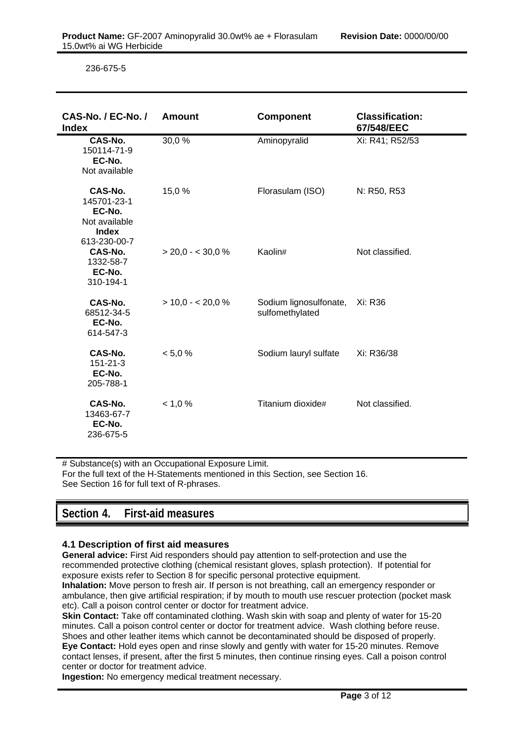236-675-5

| CAS-No. / EC-No. /<br><b>Index</b>                                                | <b>Amount</b>       | <b>Component</b>                          | <b>Classification:</b><br>67/548/EEC |
|-----------------------------------------------------------------------------------|---------------------|-------------------------------------------|--------------------------------------|
| CAS-No.<br>150114-71-9<br>EC-No.<br>Not available                                 | 30,0%               | Aminopyralid                              | Xi: R41; R52/53                      |
| CAS-No.<br>145701-23-1<br>EC-No.<br>Not available<br><b>Index</b><br>613-230-00-7 | 15,0%               | Florasulam (ISO)                          | N: R50, R53                          |
| CAS-No.<br>1332-58-7<br>EC-No.<br>310-194-1                                       | $>$ 20,0 - < 30,0 % | Kaolin#                                   | Not classified.                      |
| CAS-No.<br>68512-34-5<br>EC-No.<br>614-547-3                                      | $> 10.0 - 20.0 %$   | Sodium lignosulfonate,<br>sulfomethylated | Xi: R36                              |
| CAS-No.<br>$151 - 21 - 3$<br>EC-No.<br>205-788-1                                  | < 5,0 %             | Sodium lauryl sulfate                     | Xi: R36/38                           |
| CAS-No.<br>13463-67-7<br>EC-No.<br>236-675-5                                      | < 1,0%              | Titanium dioxide#                         | Not classified.                      |

# Substance(s) with an Occupational Exposure Limit. For the full text of the H-Statements mentioned in this Section, see Section 16. See Section 16 for full text of R-phrases.

# **Section 4. First-aid measures**

## **4.1 Description of first aid measures**

**General advice:** First Aid responders should pay attention to self-protection and use the recommended protective clothing (chemical resistant gloves, splash protection). If potential for exposure exists refer to Section 8 for specific personal protective equipment.

**Inhalation:** Move person to fresh air. If person is not breathing, call an emergency responder or ambulance, then give artificial respiration; if by mouth to mouth use rescuer protection (pocket mask etc). Call a poison control center or doctor for treatment advice.

**Skin Contact:** Take off contaminated clothing. Wash skin with soap and plenty of water for 15-20 minutes. Call a poison control center or doctor for treatment advice. Wash clothing before reuse. Shoes and other leather items which cannot be decontaminated should be disposed of properly. **Eye Contact:** Hold eyes open and rinse slowly and gently with water for 15-20 minutes. Remove contact lenses, if present, after the first 5 minutes, then continue rinsing eyes. Call a poison control center or doctor for treatment advice.

**Ingestion:** No emergency medical treatment necessary.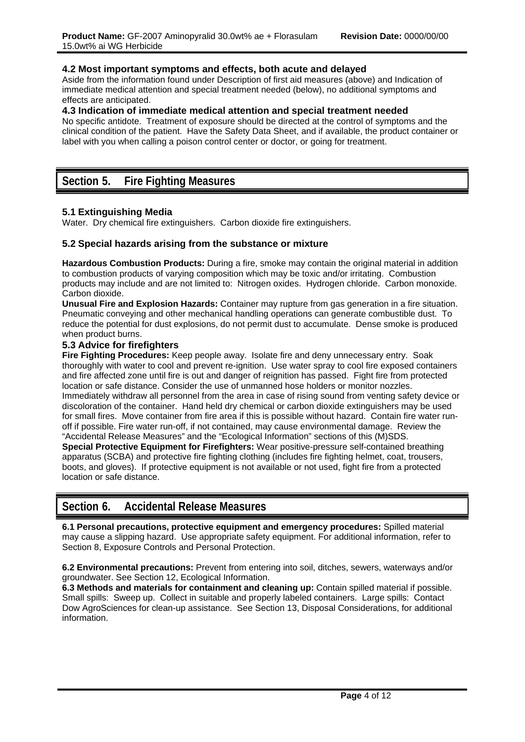### **4.2 Most important symptoms and effects, both acute and delayed**

Aside from the information found under Description of first aid measures (above) and Indication of immediate medical attention and special treatment needed (below), no additional symptoms and effects are anticipated.

#### **4.3 Indication of immediate medical attention and special treatment needed**

No specific antidote. Treatment of exposure should be directed at the control of symptoms and the clinical condition of the patient. Have the Safety Data Sheet, and if available, the product container or label with you when calling a poison control center or doctor, or going for treatment.

# **Section 5. Fire Fighting Measures**

## **5.1 Extinguishing Media**

Water. Dry chemical fire extinguishers. Carbon dioxide fire extinguishers.

### **5.2 Special hazards arising from the substance or mixture**

**Hazardous Combustion Products:** During a fire, smoke may contain the original material in addition to combustion products of varying composition which may be toxic and/or irritating. Combustion products may include and are not limited to: Nitrogen oxides. Hydrogen chloride. Carbon monoxide. Carbon dioxide.

**Unusual Fire and Explosion Hazards:** Container may rupture from gas generation in a fire situation. Pneumatic conveying and other mechanical handling operations can generate combustible dust. To reduce the potential for dust explosions, do not permit dust to accumulate. Dense smoke is produced when product burns.

### **5.3 Advice for firefighters**

**Fire Fighting Procedures:** Keep people away. Isolate fire and deny unnecessary entry. Soak thoroughly with water to cool and prevent re-ignition. Use water spray to cool fire exposed containers and fire affected zone until fire is out and danger of reignition has passed. Fight fire from protected location or safe distance. Consider the use of unmanned hose holders or monitor nozzles. Immediately withdraw all personnel from the area in case of rising sound from venting safety device or discoloration of the container. Hand held dry chemical or carbon dioxide extinguishers may be used for small fires. Move container from fire area if this is possible without hazard. Contain fire water runoff if possible. Fire water run-off, if not contained, may cause environmental damage. Review the "Accidental Release Measures" and the "Ecological Information" sections of this (M)SDS.

**Special Protective Equipment for Firefighters:** Wear positive-pressure self-contained breathing apparatus (SCBA) and protective fire fighting clothing (includes fire fighting helmet, coat, trousers, boots, and gloves). If protective equipment is not available or not used, fight fire from a protected location or safe distance.

# **Section 6. Accidental Release Measures**

**6.1 Personal precautions, protective equipment and emergency procedures:** Spilled material may cause a slipping hazard. Use appropriate safety equipment. For additional information, refer to Section 8, Exposure Controls and Personal Protection.

**6.2 Environmental precautions:** Prevent from entering into soil, ditches, sewers, waterways and/or groundwater. See Section 12, Ecological Information.

**6.3 Methods and materials for containment and cleaning up:** Contain spilled material if possible. Small spills: Sweep up. Collect in suitable and properly labeled containers. Large spills: Contact Dow AgroSciences for clean-up assistance. See Section 13, Disposal Considerations, for additional information.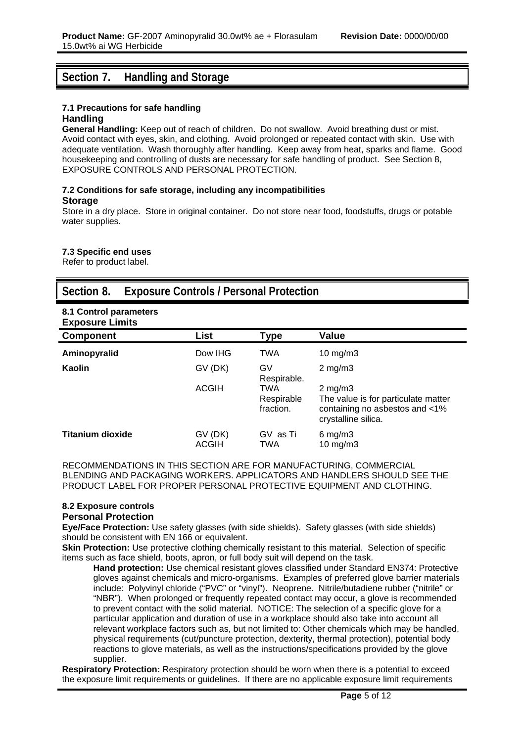# **Section 7. Handling and Storage**

# **7.1 Precautions for safe handling**

## **Handling**

**General Handling:** Keep out of reach of children. Do not swallow. Avoid breathing dust or mist. Avoid contact with eyes, skin, and clothing. Avoid prolonged or repeated contact with skin. Use with adequate ventilation. Wash thoroughly after handling. Keep away from heat, sparks and flame. Good housekeeping and controlling of dusts are necessary for safe handling of product. See Section 8, EXPOSURE CONTROLS AND PERSONAL PROTECTION.

#### **7.2 Conditions for safe storage, including any incompatibilities Storage**

Store in a dry place. Store in original container. Do not store near food, foodstuffs, drugs or potable water supplies.

#### **7.3 Specific end uses**

Refer to product label.

# **Section 8. Exposure Controls / Personal Protection**

# **8.1 Control parameters**

| <b>Exposure Limits</b>  |                  |                                |                                                                                                                  |
|-------------------------|------------------|--------------------------------|------------------------------------------------------------------------------------------------------------------|
| <b>Component</b>        | List             | Type                           | <b>Value</b>                                                                                                     |
| Aminopyralid            | Dow IHG          | <b>TWA</b>                     | 10 $mg/m3$                                                                                                       |
| Kaolin                  | GV (DK)          | G٧<br>Respirable.              | $2 \text{ mg/m}$                                                                                                 |
|                         | ACGIH            | TWA<br>Respirable<br>fraction. | $2 \text{ mg/m}$<br>The value is for particulate matter<br>containing no asbestos and <1%<br>crystalline silica. |
| <b>Titanium dioxide</b> | GV (DK)<br>ACGIH | GV as Ti<br>TWA                | $6 \text{ mg/m}$ 3<br>10 $mg/m3$                                                                                 |

RECOMMENDATIONS IN THIS SECTION ARE FOR MANUFACTURING, COMMERCIAL BLENDING AND PACKAGING WORKERS. APPLICATORS AND HANDLERS SHOULD SEE THE PRODUCT LABEL FOR PROPER PERSONAL PROTECTIVE EQUIPMENT AND CLOTHING.

# **8.2 Exposure controls**

# **Personal Protection**

**Eye/Face Protection:** Use safety glasses (with side shields). Safety glasses (with side shields) should be consistent with EN 166 or equivalent.

**Skin Protection:** Use protective clothing chemically resistant to this material. Selection of specific items such as face shield, boots, apron, or full body suit will depend on the task.

**Hand protection:** Use chemical resistant gloves classified under Standard EN374: Protective gloves against chemicals and micro-organisms. Examples of preferred glove barrier materials include: Polyvinyl chloride ("PVC" or "vinyl"). Neoprene. Nitrile/butadiene rubber ("nitrile" or "NBR"). When prolonged or frequently repeated contact may occur, a glove is recommended to prevent contact with the solid material. NOTICE: The selection of a specific glove for a particular application and duration of use in a workplace should also take into account all relevant workplace factors such as, but not limited to: Other chemicals which may be handled, physical requirements (cut/puncture protection, dexterity, thermal protection), potential body reactions to glove materials, as well as the instructions/specifications provided by the glove supplier.

**Respiratory Protection:** Respiratory protection should be worn when there is a potential to exceed the exposure limit requirements or guidelines. If there are no applicable exposure limit requirements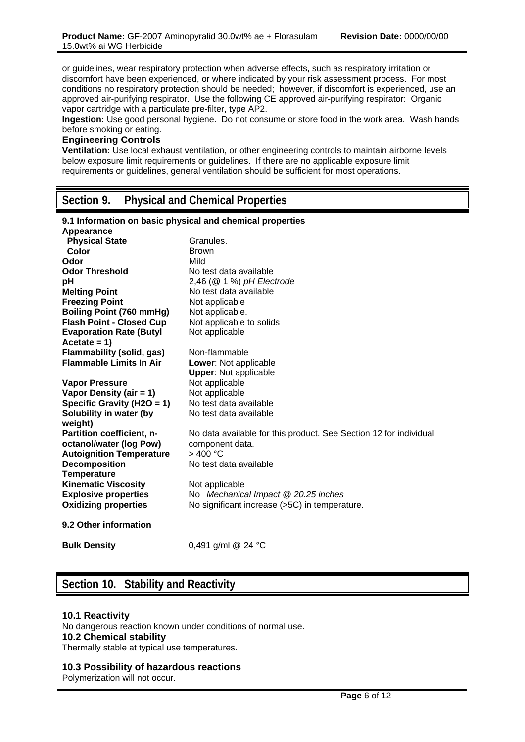or guidelines, wear respiratory protection when adverse effects, such as respiratory irritation or discomfort have been experienced, or where indicated by your risk assessment process. For most conditions no respiratory protection should be needed; however, if discomfort is experienced, use an approved air-purifying respirator. Use the following CE approved air-purifying respirator: Organic vapor cartridge with a particulate pre-filter, type AP2.

**Ingestion:** Use good personal hygiene. Do not consume or store food in the work area. Wash hands before smoking or eating.

## **Engineering Controls**

**Ventilation:** Use local exhaust ventilation, or other engineering controls to maintain airborne levels below exposure limit requirements or guidelines. If there are no applicable exposure limit requirements or guidelines, general ventilation should be sufficient for most operations.

# **Section 9. Physical and Chemical Properties**

| 9.1 Information on basic physical and chemical properties<br>Appearance |                                                                   |
|-------------------------------------------------------------------------|-------------------------------------------------------------------|
|                                                                         | Granules.                                                         |
| <b>Physical State</b>                                                   |                                                                   |
| Color                                                                   | <b>Brown</b>                                                      |
| Odor                                                                    | Mild                                                              |
| <b>Odor Threshold</b>                                                   | No test data available                                            |
| pH                                                                      | $2,46$ ( $@$ 1 %) pH Electrode                                    |
| <b>Melting Point</b>                                                    | No test data available                                            |
| <b>Freezing Point</b>                                                   | Not applicable                                                    |
| <b>Boiling Point (760 mmHg)</b>                                         | Not applicable.                                                   |
| <b>Flash Point - Closed Cup</b>                                         | Not applicable to solids                                          |
| <b>Evaporation Rate (Butyl</b>                                          | Not applicable                                                    |
| Acetate = $1)$                                                          |                                                                   |
| <b>Flammability (solid, gas)</b>                                        | Non-flammable                                                     |
| <b>Flammable Limits In Air</b>                                          | Lower: Not applicable                                             |
|                                                                         | <b>Upper: Not applicable</b>                                      |
| <b>Vapor Pressure</b>                                                   | Not applicable                                                    |
| Vapor Density (air = 1)                                                 | Not applicable                                                    |
|                                                                         | No test data available                                            |
| Specific Gravity (H2O = 1)                                              |                                                                   |
| Solubility in water (by<br>weight)                                      | No test data available                                            |
| Partition coefficient, n-                                               | No data available for this product. See Section 12 for individual |
| octanol/water (log Pow)                                                 | component data.                                                   |
| <b>Autoignition Temperature</b>                                         | >400 °C                                                           |
| <b>Decomposition</b>                                                    | No test data available                                            |
| <b>Temperature</b>                                                      |                                                                   |
|                                                                         |                                                                   |
| <b>Kinematic Viscosity</b>                                              | Not applicable                                                    |
| <b>Explosive properties</b>                                             | No Mechanical Impact @ 20.25 inches                               |
| <b>Oxidizing properties</b>                                             | No significant increase (>5C) in temperature.                     |
| 9.2 Other information                                                   |                                                                   |
| <b>Bulk Density</b>                                                     | 0,491 g/ml @ 24 °C                                                |

# **Section 10. Stability and Reactivity**

#### **10.1 Reactivity**

No dangerous reaction known under conditions of normal use. **10.2 Chemical stability** Thermally stable at typical use temperatures.

#### **10.3 Possibility of hazardous reactions**

Polymerization will not occur.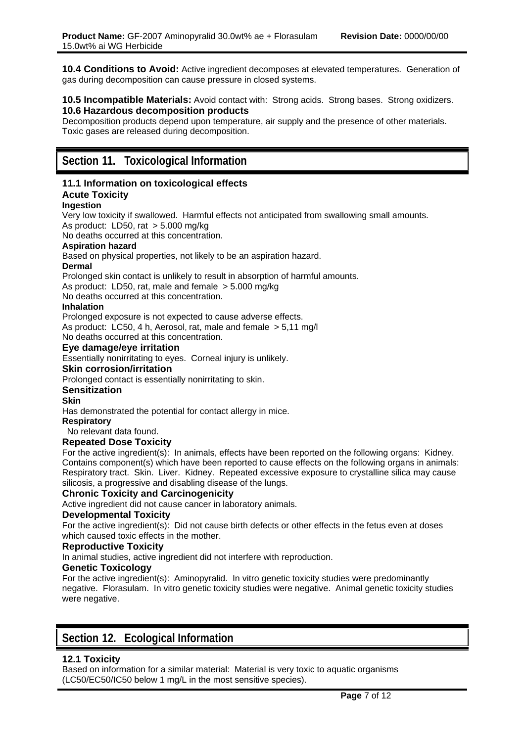**10.4 Conditions to Avoid:** Active ingredient decomposes at elevated temperatures. Generation of gas during decomposition can cause pressure in closed systems.

#### **10.5 Incompatible Materials:** Avoid contact with: Strong acids. Strong bases. Strong oxidizers. **10.6 Hazardous decomposition products**

Decomposition products depend upon temperature, air supply and the presence of other materials. Toxic gases are released during decomposition.

# **Section 11. Toxicological Information**

#### **11.1 Information on toxicological effects Acute Toxicity**

### **Ingestion**

Very low toxicity if swallowed. Harmful effects not anticipated from swallowing small amounts. As product: LD50, rat > 5.000 mg/kg

No deaths occurred at this concentration.

### **Aspiration hazard**

Based on physical properties, not likely to be an aspiration hazard.

#### **Dermal**

Prolonged skin contact is unlikely to result in absorption of harmful amounts.

As product: LD50, rat, male and female > 5.000 mg/kg

No deaths occurred at this concentration.

#### **Inhalation**

Prolonged exposure is not expected to cause adverse effects. As product: LC50, 4 h, Aerosol, rat, male and female > 5,11 mg/l No deaths occurred at this concentration.

### **Eye damage/eye irritation**

Essentially nonirritating to eyes. Corneal injury is unlikely.

#### **Skin corrosion/irritation**

Prolonged contact is essentially nonirritating to skin.

#### **Sensitization**

#### **Skin**

Has demonstrated the potential for contact allergy in mice.

**Respiratory**

No relevant data found.

#### **Repeated Dose Toxicity**

For the active ingredient(s): In animals, effects have been reported on the following organs: Kidney. Contains component(s) which have been reported to cause effects on the following organs in animals: Respiratory tract. Skin. Liver. Kidney. Repeated excessive exposure to crystalline silica may cause silicosis, a progressive and disabling disease of the lungs.

## **Chronic Toxicity and Carcinogenicity**

Active ingredient did not cause cancer in laboratory animals.

#### **Developmental Toxicity**

For the active ingredient(s): Did not cause birth defects or other effects in the fetus even at doses which caused toxic effects in the mother.

#### **Reproductive Toxicity**

In animal studies, active ingredient did not interfere with reproduction.

## **Genetic Toxicology**

For the active ingredient(s): Aminopyralid. In vitro genetic toxicity studies were predominantly negative. Florasulam. In vitro genetic toxicity studies were negative. Animal genetic toxicity studies were negative.

# **Section 12. Ecological Information**

## **12.1 Toxicity**

Based on information for a similar material: Material is very toxic to aquatic organisms (LC50/EC50/IC50 below 1 mg/L in the most sensitive species).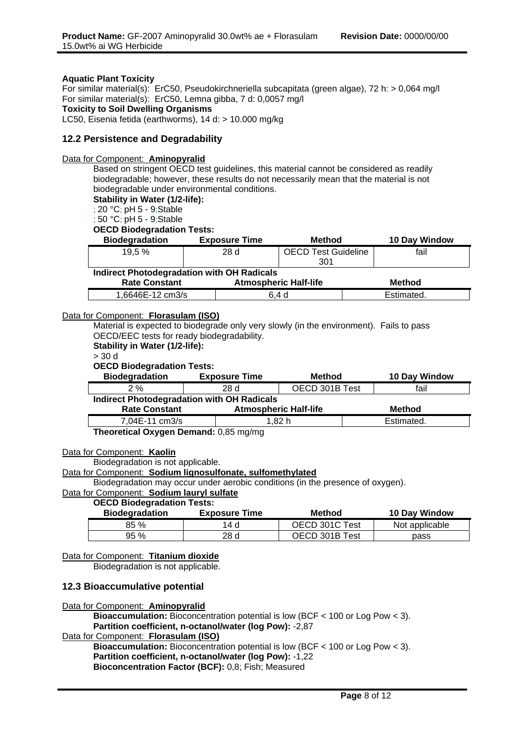#### **Aquatic Plant Toxicity**

For similar material(s): ErC50, Pseudokirchneriella subcapitata (green algae), 72 h: > 0,064 mg/l For similar material(s): ErC50, Lemna gibba, 7 d: 0,0057 mg/l **Toxicity to Soil Dwelling Organisms**  LC50, Eisenia fetida (earthworms), 14 d: > 10.000 mg/kg

#### **12.2 Persistence and Degradability**

#### Data for Component: **Aminopyralid**

Based on stringent OECD test guidelines, this material cannot be considered as readily biodegradable; however, these results do not necessarily mean that the material is not biodegradable under environmental conditions.

**Stability in Water (1/2-life):**

; 20 °C; pH 5 - 9;Stable

; 50 °C; pH 5 - 9;Stable

**OECD Biodegradation Tests:**

| <b>Biodegradation</b> | <b>Exposure Time</b> | Method                     | 10 Day Window |
|-----------------------|----------------------|----------------------------|---------------|
| 19.5 %                | 28 d                 | <b>OECD Test Guideline</b> | fail          |
|                       |                      | 301                        |               |

**Indirect Photodegradation with OH Radicals**

| <b>Rate Constant</b> | <b>Atmospheric Half-life</b> | Method     |
|----------------------|------------------------------|------------|
| 1.6646E-12 cm3/s     | 6.4 d                        | Estimated. |

#### Data for Component: **Florasulam (ISO)**

Material is expected to biodegrade only very slowly (in the environment). Fails to pass OECD/EEC tests for ready biodegradability. **Stability in Water (1/2-life):**

> 30 d

#### **OECD Biodegradation Tests:**

| _______________                                   |                      |                              |               |
|---------------------------------------------------|----------------------|------------------------------|---------------|
| <b>Biodegradation</b>                             | <b>Exposure Time</b> | <b>Method</b>                | 10 Day Window |
| 2%                                                | 28 d                 | OECD 301B Test               | fail          |
| <b>Indirect Photodegradation with OH Radicals</b> |                      |                              |               |
| <b>Rate Constant</b>                              |                      | <b>Atmospheric Half-life</b> | <b>Method</b> |
| 7,04E-11 cm3/s                                    |                      | 1,82 h                       | Estimated.    |

**Theoretical Oxygen Demand:** 0,85 mg/mg

#### Data for Component: **Kaolin**

Biodegradation is not applicable.

#### Data for Component: **Sodium lignosulfonate, sulfomethylated**

Biodegradation may occur under aerobic conditions (in the presence of oxygen).

#### Data for Component: **Sodium lauryl sulfate**

#### **OECD Biodegradation Tests:**

| <b>Biodegradation</b> | <b>Exposure Time</b> | Method         | 10 Day Window  |
|-----------------------|----------------------|----------------|----------------|
| 85 %                  | 14 d                 | OECD 301C Test | Not applicable |
| 95 %                  | 28 d                 | OECD 301B Test | pass           |

## Data for Component: **Titanium dioxide**

Biodegradation is not applicable.

#### **12.3 Bioaccumulative potential**

Data for Component: **Aminopyralid**

**Bioaccumulation:** Bioconcentration potential is low (BCF < 100 or Log Pow < 3). **Partition coefficient, n-octanol/water (log Pow):** -2,87

### Data for Component: **Florasulam (ISO)**

**Bioaccumulation:** Bioconcentration potential is low (BCF < 100 or Log Pow < 3). **Partition coefficient, n-octanol/water (log Pow):** -1,22 **Bioconcentration Factor (BCF):** 0,8; Fish; Measured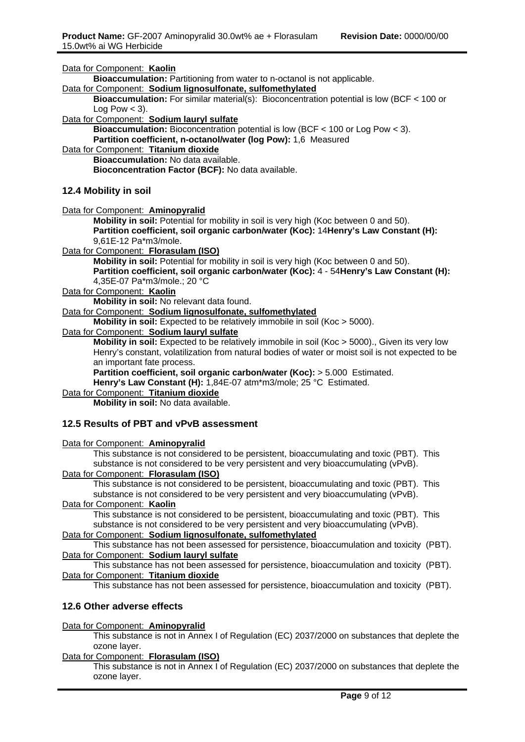| Data for Component: Kaolin                                                                                                             |
|----------------------------------------------------------------------------------------------------------------------------------------|
| Bioaccumulation: Partitioning from water to n-octanol is not applicable.                                                               |
| Data for Component: Sodium lignosulfonate, sulfomethylated                                                                             |
| <b>Bioaccumulation:</b> For similar material(s): Bioconcentration potential is low (BCF $<$ 100 or                                     |
| Log Pow $<$ 3).                                                                                                                        |
| Data for Component: Sodium lauryl sulfate                                                                                              |
| Bioaccumulation: Bioconcentration potential is low (BCF < 100 or Log Pow < 3).                                                         |
| Partition coefficient, n-octanol/water (log Pow): 1,6 Measured                                                                         |
| Data for Component: Titanium dioxide                                                                                                   |
| Bioaccumulation: No data available.                                                                                                    |
| Bioconcentration Factor (BCF): No data available.                                                                                      |
|                                                                                                                                        |
| 12.4 Mobility in soil                                                                                                                  |
| Data for Component: Aminopyralid                                                                                                       |
| Mobility in soil: Potential for mobility in soil is very high (Koc between 0 and 50).                                                  |
| Partition coefficient, soil organic carbon/water (Koc): 14Henry's Law Constant (H):                                                    |
| 9,61E-12 Pa*m3/mole.                                                                                                                   |
| Data for Component: Florasulam (ISO)                                                                                                   |
| Mobility in soil: Potential for mobility in soil is very high (Koc between 0 and 50).                                                  |
| Partition coefficient, soil organic carbon/water (Koc): 4 - 54Henry's Law Constant (H):                                                |
| 4,35E-07 Pa*m3/mole.; 20 °C                                                                                                            |
| Data for Component: Kaolin                                                                                                             |
| Mobility in soil: No relevant data found.                                                                                              |
| Data for Component: Sodium lignosulfonate, sulfomethylated                                                                             |
| Mobility in soil: Expected to be relatively immobile in soil (Koc > 5000).                                                             |
| Data for Component: Sodium lauryl sulfate                                                                                              |
| Mobility in soil: Expected to be relatively immobile in soil (Koc > 5000)., Given its very low                                         |
| Henry's constant, volatilization from natural bodies of water or moist soil is not expected to be                                      |
| an important fate process.                                                                                                             |
| Partition coefficient, soil organic carbon/water (Koc): > 5.000 Estimated.                                                             |
| Henry's Law Constant (H): 1,84E-07 atm*m3/mole; 25 °C Estimated.                                                                       |
| Data for Component: Titanium dioxide                                                                                                   |
| Mobility in soil: No data available.                                                                                                   |
| 12.5 Results of PBT and vPvB assessment                                                                                                |
|                                                                                                                                        |
| Data for Component: Aminopyralid                                                                                                       |
| This substance is not considered to be persistent, bioaccumulating and toxic (PBT). This                                               |
| substance is not considered to be very persistent and very bioaccumulating (vPvB).                                                     |
| Data for Component: Florasulam (ISO)                                                                                                   |
| This substance is not considered to be persistent, bioaccumulating and toxic (PBT). This                                               |
| substance is not considered to be very persistent and very bioaccumulating (vPvB).                                                     |
| Data for Component: Kaolin                                                                                                             |
| This substance is not considered to be persistent, bioaccumulating and toxic (PBT). This                                               |
| substance is not considered to be very persistent and very bioaccumulating (vPvB).                                                     |
| Data for Component: Sodium lignosulfonate, sulfomethylated                                                                             |
| This substance has not been assessed for persistence, bioaccumulation and toxicity (PBT).                                              |
| Data for Component: Sodium lauryl sulfate<br>This substance has not been assessed for persistence, bioaccumulation and toxicity (PBT). |
| Data for Component: Titanium dioxide                                                                                                   |
| This substance has not been assessed for persistence, bioaccumulation and toxicity (PBT).                                              |
|                                                                                                                                        |

### **12.6 Other adverse effects**

#### Data for Component: **Aminopyralid**

This substance is not in Annex I of Regulation (EC) 2037/2000 on substances that deplete the ozone layer.

#### Data for Component: **Florasulam (ISO)**

This substance is not in Annex I of Regulation (EC) 2037/2000 on substances that deplete the ozone layer.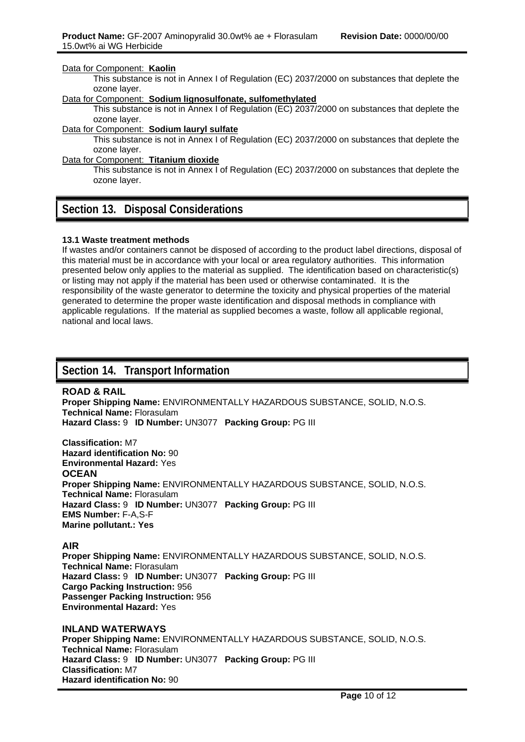#### Data for Component: **Kaolin**

This substance is not in Annex I of Regulation (EC) 2037/2000 on substances that deplete the ozone layer.

#### Data for Component: **Sodium lignosulfonate, sulfomethylated**

This substance is not in Annex I of Regulation (EC) 2037/2000 on substances that deplete the ozone layer.

#### Data for Component: **Sodium lauryl sulfate**

This substance is not in Annex I of Regulation (EC) 2037/2000 on substances that deplete the ozone layer.

#### Data for Component: **Titanium dioxide**

This substance is not in Annex I of Regulation (EC) 2037/2000 on substances that deplete the ozone layer.

## **Section 13. Disposal Considerations**

#### **13.1 Waste treatment methods**

If wastes and/or containers cannot be disposed of according to the product label directions, disposal of this material must be in accordance with your local or area regulatory authorities. This information presented below only applies to the material as supplied. The identification based on characteristic(s) or listing may not apply if the material has been used or otherwise contaminated. It is the responsibility of the waste generator to determine the toxicity and physical properties of the material generated to determine the proper waste identification and disposal methods in compliance with applicable regulations. If the material as supplied becomes a waste, follow all applicable regional, national and local laws.

# **Section 14. Transport Information**

#### **ROAD & RAIL**

**Proper Shipping Name:** ENVIRONMENTALLY HAZARDOUS SUBSTANCE, SOLID, N.O.S. **Technical Name:** Florasulam **Hazard Class:** 9 **ID Number:** UN3077 **Packing Group:** PG III

**Classification:** M7 **Hazard identification No:** 90 **Environmental Hazard:** Yes **OCEAN Proper Shipping Name:** ENVIRONMENTALLY HAZARDOUS SUBSTANCE, SOLID, N.O.S. **Technical Name:** Florasulam **Hazard Class:** 9 **ID Number:** UN3077 **Packing Group:** PG III **EMS Number:** F-A,S-F **Marine pollutant.: Yes**

### **AIR**

**Proper Shipping Name:** ENVIRONMENTALLY HAZARDOUS SUBSTANCE, SOLID, N.O.S. **Technical Name:** Florasulam **Hazard Class:** 9 **ID Number:** UN3077 **Packing Group:** PG III **Cargo Packing Instruction:** 956 **Passenger Packing Instruction:** 956 **Environmental Hazard:** Yes

**INLAND WATERWAYS Proper Shipping Name:** ENVIRONMENTALLY HAZARDOUS SUBSTANCE, SOLID, N.O.S. **Technical Name:** Florasulam **Hazard Class:** 9 **ID Number:** UN3077 **Packing Group:** PG III **Classification:** M7 **Hazard identification No:** 90